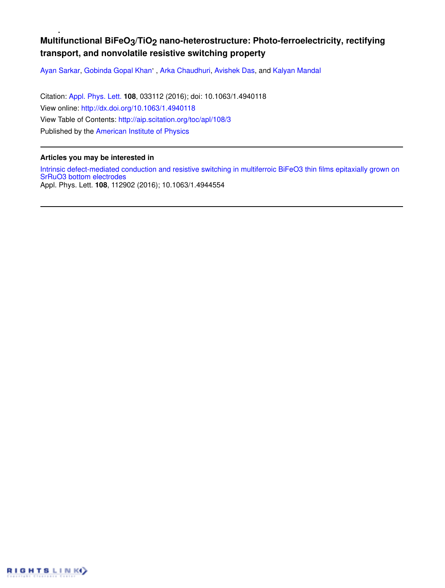## Multifunctional BiFeO<sub>3</sub>/TiO<sub>2</sub> nano-heterostructure: Photo-ferroelectricity, rectifying **transport, and nonvolatile resistive switching property**

Ayan Sarkar, Gobinda Gopal Khan', Arka Chaudhuri, Avishek Das, and Kalyan Mandal

Citation: Appl. Phys. Lett. **108**, 033112 (2016); doi: 10.1063/1.4940118 View online: http://dx.doi.org/10.1063/1.4940118 View Table of Contents: http://aip.scitation.org/toc/apl/108/3 Published by the American Institute of Physics

## **Articles you may be interested in**

Intrinsic defect-mediated conduction and resistive switching in multiferroic BiFeO3 thin films epitaxially grown on SrRuO3 bottom electrodes Appl. Phys. Lett. **108**, 112902 (2016); 10.1063/1.4944554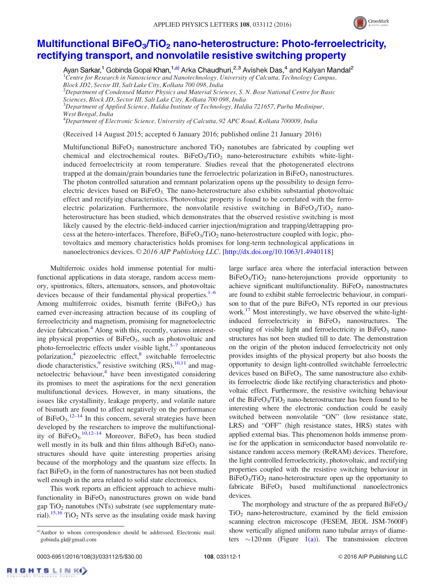

## Multifunctional BiFeO<sub>3</sub>/TiO<sub>2</sub> nano-heterostructure: Photo-ferroelectricity, rectifying transport, and nonvolatile resistive switching property

Ayan Sarkar,<sup>1</sup> Gobinda Gopal Khan,<sup>1,a)</sup> Arka Chaudhuri,<sup>2,3</sup> Avishek Das,<sup>4</sup> and Kalyan Mandal<sup>2</sup>  $1$ Centre for Research in Nanoscience and Nanotechnology, University of Calcutta, Technology Campus,

Block JD2, Sector III, Salt Lake City, Kolkata 700 098, India  ${}^{2}$ Department of Condensed Matter Physics and Material Sciences, S. N. Bose National Centre for Basic Sciences, Block JD, Sector III, Salt Lake City, Kolkata 700 098, India  $3$ Department of Applied Science, Haldia Institute of Technology, Haldia 721657, Purba Medinipur, West Bengal, India

 $^4$ Department of Electronic Science, University of Calcutta, 92 APC Road, Kolkata 700009, India

(Received 14 August 2015; accepted 6 January 2016; published online 21 January 2016)

Multifunctional BiFeO<sub>3</sub> nanostructure anchored TiO<sub>2</sub> nanotubes are fabricated by coupling wet chemical and electrochemical routes.  $BiFeO<sub>3</sub>/TiO<sub>2</sub>$  nano-heterostructure exhibits white-lightinduced ferroelectricity at room temperature. Studies reveal that the photogenerated electrons trapped at the domain/grain boundaries tune the ferroelectric polarization in  $B$ iFeO<sub>3</sub> nanostructures. The photon controlled saturation and remnant polarization opens up the possibility to design ferroelectric devices based on  $BiFeO<sub>3</sub>$ . The nano-heterostructure also exhibits substantial photovoltaic effect and rectifying characteristics. Photovoltaic property is found to be correlated with the ferroelectric polarization. Furthermore, the nonvolatile resistive switching in  $BiFeO<sub>3</sub>/TiO<sub>2</sub>$  nanoheterostructure has been studied, which demonstrates that the observed resistive switching is most likely caused by the electric-field-induced carrier injection/migration and trapping/detrapping process at the hetero-interfaces. Therefore,  $BiFeO<sub>3</sub>/TiO<sub>2</sub>$  nano-heterostructure coupled with logic, photovoltaics and memory characteristics holds promises for long-term technological applications in nanoelectronics devices. © 2016 AIP Publishing LLC. [http://dx.doi.org/10.1063/1.4940118]

Multiferroic oxides hold immense potential for multifunctional applications in data storage, random access memory, spintronics, filters, attenuators, sensors, and photovoltaic devices because of their fundamental physical properties.<sup>1–6</sup> Among multiferroic oxides, bismuth ferrite  $(BiFeO<sub>3</sub>)$  has earned ever-increasing attraction because of its coupling of ferroelectricity and magnetism, promising for magnetoelectric device fabrication.<sup>4</sup> Along with this, recently, various interesting physical properties of BiFeO<sub>3</sub>, such as photovoltaic and photo-ferroelectric effects under visible light,<sup>5-7</sup> spontaneous polarization,<sup>4</sup> piezoelectric effect,<sup>8</sup> switchable ferroelectric diode characteristics,  $\frac{9}{5}$  resistive switching (RS),  $\frac{10,11}{5}$  and magnetoelectric behaviour,<sup>4</sup> have been investigated considering its promises to meet the aspirations for the next generation multifunctional devices. However, in many situations, the issues like crystallinity, leakage property, and volatile nature of bismuth are found to affect negatively on the performance of BiFeO<sub>3</sub>.<sup>12–14</sup> In this concern, several strategies have been developed by the researchers to improve the multifunctionality of  $BireO<sub>3</sub>$ ,  $^{10,12-14}$  Moreover,  $BireO<sub>3</sub>$  has been studied well mostly in its bulk and thin films although  $BiFeO<sub>3</sub>$  nanostructures should have quite interesting properties arising because of the morphology and the quantum size effects. In fact  $BiFeO<sub>3</sub>$  in the form of nanostructures has not been studied well enough in the area related to solid state electronics.

This work reports an efficient approach to achieve multifunctionality in  $BiFeO<sub>3</sub>$  nanostructures grown on wide band gap  $TiO<sub>2</sub>$  nanotubes (NTs) substrate (see supplementary material).<sup>15,16</sup> TiO<sub>2</sub> NTs serve as the insulating oxide mask having large surface area where the interfacial interaction between BiFeO<sub>3</sub>/TiO<sub>2</sub> nano-heterojunctions provide opportunity to achieve significant multifunctionality.  $BiFeO<sub>3</sub>$  nanostructures are found to exhibit stable ferroelectric behaviour, in comparison to that of the pure  $BiFeO<sub>3</sub>$  NTs reported in our previous work.<sup>17</sup> Most interestingly, we have observed the white-lightinduced ferroelectricity in  $BiFeO<sub>3</sub>$  nanostructures. The coupling of visible light and ferroelectricity in  $BiFeO<sub>3</sub>$  nanostructures has not been studied till to date. The demonstration on the origin of the photon induced ferroelectricity not only provides insights of the physical property but also boosts the opportunity to design light-controlled switchable ferroelectric devices based on  $BiFeO<sub>3</sub>$ . The same nanostructure also exhibits ferroelectric diode like rectifying characteristics and photovoltaic effect. Furthermore, the resistive switching behaviour of the  $BiFeO<sub>3</sub>/TiO<sub>2</sub>$  nano-heterostructure has been found to be interesting where the electronic conduction could be easily switched between nonvolatile "ON" (low resistance state, LRS) and "OFF" (high resistance states, HRS) states with applied external bias. This phenomenon holds immense promise for the application in semiconductor based nonvolatile resistance random access memory (ReRAM) devices. Therefore, the light controlled ferroelectricity, photovoltaic, and rectifying properties coupled with the resistive switching behaviour in  $BiFeO<sub>3</sub>/TiO<sub>2</sub>$  nano-heterostructure open up the opportunity to fabricate  $BiFeO<sub>3</sub>$  based multifunctional nanoelectronics devices.

The morphology and structure of the as prepared  $BiFeO<sub>3</sub>/$  $TiO<sub>2</sub>$  nano-heterostructure, examined by the field emission scanning electron microscope (FESEM, JEOL JSM-7600F) show vertically aligned uniform nano tubular arrays of diameters  $\sim$ 120 nm (Figure 1(a)). The transmission electron

RIGHTSLINK()

a)Author to whom correspondence should be addressed. Electronic mail: gobinda.gk@gmail.com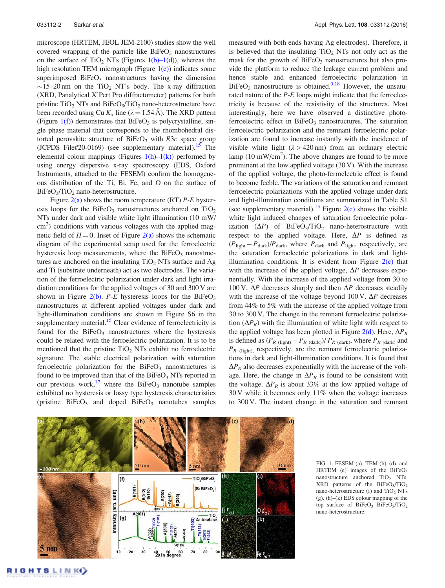microscope (HRTEM, JEOL JEM-2100) studies show the well covered wrapping of the particle like  $BiFeO<sub>3</sub>$  nanostructures on the surface of TiO<sub>2</sub> NTs (Figures 1(b)–1(d)), whereas the high resolution TEM micrograph (Figure  $1(e)$ ) indicates some superimposed  $BiFeO<sub>3</sub>$  nanostructures having the dimension  $\sim$ 15–20 nm on the TiO<sub>2</sub> NT's body. The x-ray diffraction (XRD, Panalytical X'Pert Pro diffractometer) patterns for both pristine  $TiO<sub>2</sub> NTs$  and  $BiFeO<sub>3</sub>/TiO<sub>2</sub>$  nano-heterostructure have been recorded using Cu  $K_{\alpha}$  line ( $\lambda = 1.54 \text{ Å}$ ). The XRD pattern (Figure  $1(f)$ ) demonstrates that BiFeO<sub>3</sub> is polycrystalline, single phase material that corresponds to the rhombohedral distorted perovskite structure of  $BiFeO<sub>3</sub>$  with R3c space group (JCPDS File#20-0169) (see supplementary material).<sup>15</sup> The elemental colour mappings (Figures  $1(h)-1(k)$ ) performed by using energy dispersive x-ray spectroscopy (EDS, Oxford Instruments, attached to the FESEM) confirm the homogeneous distribution of the Ti, Bi, Fe, and O on the surface of  $BiFeO<sub>3</sub>/TiO<sub>2</sub>$  nano-heterostructure.

Figure  $2(a)$  shows the room temperature (RT) P-E hysteresis loops for the BiFeO<sub>3</sub> nanostructures anchored on  $TiO<sub>2</sub>$ NTs under dark and visible white light illumination (10 mW/ cm<sup>2</sup>) conditions with various voltages with the applied magnetic field of  $H = 0$ . Inset of Figure 2(a) shows the schematic diagram of the experimental setup used for the ferroelectric hysteresis loop measurements, where the  $BiFeO<sub>3</sub>$  nanostructures are anchored on the insulating  $TiO<sub>2</sub> NTs$  surface and Ag and Ti (substrate underneath) act as two electrodes. The variation of the ferroelectric polarization under dark and light irradiation conditions for the applied voltages of 30 and 300 V are shown in Figure 2(b). *P-E* hysteresis loops for the BiFe $O_3$ nanostructures at different applied voltages under dark and light-illumination conditions are shown in Figure S6 in the supplementary material.<sup>15</sup> Clear evidence of ferroelectricity is found for the  $BiFeO<sub>3</sub>$  nanostructures where the hysteresis could be related with the ferroelectric polarization. It is to be mentioned that the pristine  $TiO<sub>2</sub> NTs$  exhibit no ferroelectric signature. The stable electrical polarization with saturation ferroelectric polarization for the  $BiFeO<sub>3</sub>$  nanostructures is found to be improved than that of the  $BiFeO<sub>3</sub> NTs$  reported in our previous work,<sup>17</sup> where the BiFeO<sub>3</sub> nanotube samples exhibited no hysteresis or lossy type hysteresis characteristics (pristine  $BiFeO<sub>3</sub>$  and doped  $BiFeO<sub>3</sub>$  nanotubes samples measured with both ends having Ag electrodes). Therefore, it is believed that the insulating  $TiO<sub>2</sub> NTs$  not only act as the mask for the growth of  $BiFeO<sub>3</sub>$  nanostructures but also provide the platform to reduce the leakage current problem and hence stable and enhanced ferroelectric polarization in  $BiFeO<sub>3</sub>$  nanostructure is obtained.<sup>9,18</sup> However, the unsaturated nature of the P-E loops might indicate that the ferroelectricity is because of the resistivity of the structures. Most interestingly, here we have observed a distinctive photoferroelectric effect in  $BiFeO<sub>3</sub>$  nanostructures. The saturation ferroelectric polarization and the remnant ferroelectric polarization are found to increase instantly with the incidence of visible white light  $(\lambda > 420 \text{ nm})$  from an ordinary electric lamp (10 mW/cm<sup>2</sup>). The above changes are found to be more prominent at the low applied voltage (30 V). With the increase of the applied voltage, the photo-ferroelectric effect is found to become feeble. The variations of the saturation and remnant ferroelectric polarizations with the applied voltage under dark and light-illumination conditions are summarized in Table S1 (see supplementary material).<sup>15</sup> Figure  $2(c)$  shows the visible white light induced changes of saturation ferroelectric polarization  $(\Delta P)$  of BiFeO<sub>3</sub>/TiO<sub>2</sub> nano-heterostructure with respect to the applied voltage. Here,  $\Delta P$  is defined as  $(P_{\text{light}} - P_{\text{dark}})/P_{\text{dark}}$ , where  $P_{\text{dark}}$  and  $P_{\text{light}}$ , respectively, are the saturation ferroelectric polarizations in dark and lightillumination conditions. It is evident from Figure  $2(c)$  that with the increase of the applied voltage,  $\Delta P$  decreases exponentially. With the increase of the applied voltage from 30 to 100 V,  $\Delta P$  decreases sharply and then  $\Delta P$  decreases steadily with the increase of the voltage beyond 100 V.  $\Delta P$  decreases from 44% to 5% with the increase of the applied voltage from 30 to 300 V. The change in the remnant ferroelectric polarization  $(\Delta P_R)$  with the illumination of white light with respect to the applied voltage has been plotted in Figure 2(d). Here,  $\Delta P_R$ is defined as  $(P_{R \text{ (light)}} - P_{R \text{ (dark)}})/P_{R \text{ (dark)}}$ , where  $P_{R \text{ (dark)}}$  and  $P_{R}$  (light), respectively, are the remnant ferroelectric polarizations in dark and light-illumination conditions. It is found that  $\Delta P_R$  also decreases exponentially with the increase of the voltage. Here, the change in  $\Delta P_R$  is found to be consistent with the voltage.  $\Delta P_R$  is about 33% at the low applied voltage of 30 V while it becomes only 11% when the voltage increases to 300 V. The instant change in the saturation and remnant



FIG. 1. FESEM (a), TEM (b)–(d), and HRTEM (e) images of the  $BiFeO<sub>3</sub>$ nanostructure anchored  $TiO<sub>2</sub>$  NTs.  $XRD$  patterns of the BiFeO<sub>3</sub>/TiO<sub>2</sub> nano-heterostructure (f) and  $TiO<sub>2</sub> NTs$ (g). (h)–(k) EDS colour mapping of the top surface of BiFeO<sub>3</sub> BiFeO<sub>3</sub>/TiO<sub>2</sub> nano-heterostructure.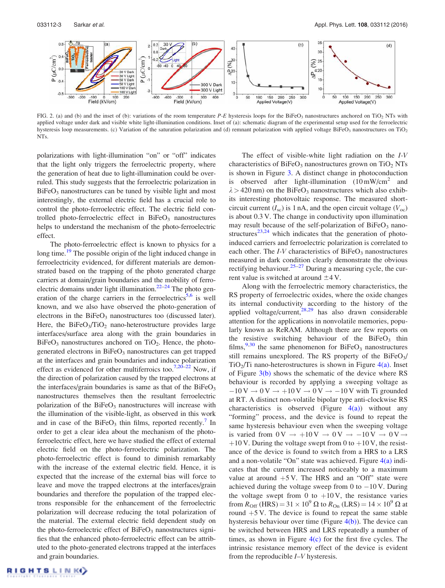

FIG. 2. (a) and (b) and the inset of (b): variations of the room temperature P-E hysteresis loops for the BiFeO<sub>3</sub> nanostructures anchored on TiO<sub>2</sub> NTs with applied voltage under dark and visible white light-illumination conditions. Inset of (a): schematic diagram of the experimental setup used for the ferroelectric hysteresis loop measurements. (c) Variation of the saturation polarization and (d) remnant polarization with applied voltage BiFeO<sub>3</sub> nanostructures on TiO<sub>2</sub> NTs.

polarizations with light-illumination "on" or "off" indicates that the light only triggers the ferroelectric property, where the generation of heat due to light-illumination could be overruled. This study suggests that the ferroelectric polarization in BiFeO<sub>3</sub> nanostructures can be tuned by visible light and most interestingly, the external electric field has a crucial role to control the photo-ferroelectric effect. The electric field controlled photo-ferroelectric effect in  $BiFeO<sub>3</sub>$  nanostructures helps to understand the mechanism of the photo-ferroelectric effect.

The photo-ferroelectric effect is known to physics for a long time.<sup>19</sup> The possible origin of the light induced change in ferroelectricity evidenced, for different materials are demonstrated based on the trapping of the photo generated charge carriers at domain/grain boundaries and the mobility of ferroelectric domains under light illumination.<sup>22–24</sup> The photo generation of the charge carriers in the ferroelectrics<sup>5,6</sup> is well known, and we also have observed the photo-generation of electrons in the  $BiFeO<sub>3</sub>$  nanostructures too (discussed later). Here, the  $BiFeO<sub>3</sub>/TiO<sub>2</sub>$  nano-heterostructure provides large interfaces/surface area along with the grain boundaries in  $BiFeO<sub>3</sub>$  nanostructures anchored on TiO<sub>2</sub>. Hence, the photogenerated electrons in BiFeO<sub>3</sub> nanostructures can get trapped at the interfaces and grain boundaries and induce polarization effect as evidenced for other multiferroics too.<sup>7,20–22</sup> Now, if the direction of polarization caused by the trapped electrons at the interfaces/grain boundaries is same as that of the  $BiFeO<sub>3</sub>$ nanostructures themselves then the resultant ferroelectric polarization of the  $BiFeO<sub>3</sub>$  nanostructures will increase with the illumination of the visible-light, as observed in this work and in case of the BiFeO<sub>3</sub> thin films, reported recently.<sup>7</sup> In order to get a clear idea about the mechanism of the photoferroelectric effect, here we have studied the effect of external electric field on the photo-ferroelectric polarization. The photo-ferroelectric effect is found to diminish remarkably with the increase of the external electric field. Hence, it is expected that the increase of the external bias will force to leave and move the trapped electrons at the interfaces/grain boundaries and therefore the population of the trapped electrons responsible for the enhancement of the ferroelectric polarization will decrease reducing the total polarization of the material. The external electric field dependent study on the photo-ferroelectric effect of  $BiFeO<sub>3</sub>$  nanostructures signifies that the enhanced photo-ferroelectric effect can be attributed to the photo-generated electrons trapped at the interfaces and grain boundaries.

rent value is switched at around  $\pm$ 4 V.

The effect of visible-white light radiation on the I-V

Along with the ferroelectric memory characteristics, the RS property of ferroelectric oxides, where the oxide changes its internal conductivity according to the history of the applied voltage/current, $28,29$  has also drawn considerable attention for the applications in nonvolatile memories, popularly known as ReRAM. Although there are few reports on the resistive switching behaviour of the  $BiFeO<sub>3</sub>$  thin films,  $9,30$  the same phenomenon for BiFeO<sub>3</sub> nanostructures still remains unexplored. The RS property of the  $BiFeO<sub>3</sub>/$  $TiO<sub>2</sub>/Ti$  nano-heterostructures is shown in Figure 4(a). Inset of Figure 3(b) shows the schematic of the device where RS behaviour is recorded by applying a sweeping voltage as  $-10 \text{ V} \rightarrow 0 \text{ V} \rightarrow +10 \text{ V} \rightarrow 0 \text{ V} \rightarrow -10 \text{ V}$  with Ti grounded at RT. A distinct non-volatile bipolar type anti-clockwise RS characteristics is observed (Figure  $4(a)$ ) without any "forming" process, and the device is found to repeat the same hysteresis behaviour even when the sweeping voltage is varied from  $0 \text{V} \rightarrow +10 \text{V} \rightarrow 0 \text{V} \rightarrow -10 \text{V} \rightarrow 0 \text{V} \rightarrow$  $+10$  V. During the voltage swept from 0 to  $+10$  V, the resistance of the device is found to switch from a HRS to a LRS and a non-volatile "On" state was achieved. Figure  $4(a)$  indicates that the current increased noticeably to a maximum value at around  $+5$  V. The HRS and an "Off" state were achieved during the voltage sweep from 0 to  $-10$  V. During the voltage swept from 0 to  $+10$  V, the resistance varies from  $R_{\text{Off}}$  (HRS) = 31  $\times$  10<sup>9</sup>  $\Omega$  to  $R_{\text{On}}$  (LRS) = 14  $\times$  10<sup>9</sup>  $\Omega$  at round  $+5$  V. The device is found to repeat the same stable hysteresis behaviour over time (Figure  $4(b)$ ). The device can be switched between HRS and LRS repeatedly a number of times, as shown in Figure  $4(c)$  for the first five cycles. The intrinsic resistance memory effect of the device is evident from the reproducible I–V hysteresis.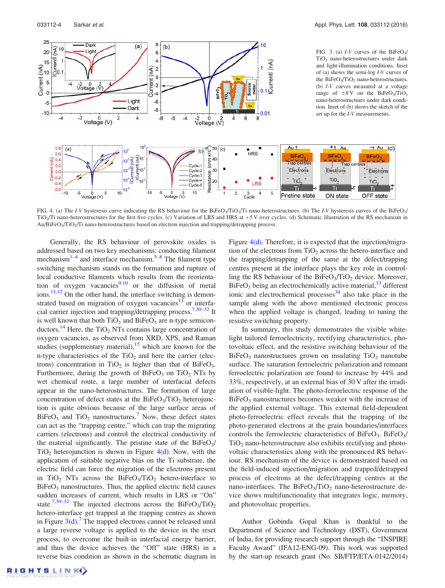

FIG. 4. (a) The I-V hysteresis curve indicating the RS behaviour for the BiFeO<sub>3</sub>/TiO<sub>2</sub>/Ti nano-heterostructures. (b) The I-V hysteresis curves of the BiFeO<sub>3</sub>/ TiO<sub>2</sub>/Ti nano-heterostructures for the first five cycles. (c) Variation of LRS and HRS at +5 V over cycles. (d) Schematic illustration of the RS mechanism in Au/BiFeO<sub>3</sub>/TiO<sub>2</sub>/Ti nano-heterostructures based on electron injection and trapping/detrapping process.

Generally, the RS behaviour of perovskite oxides is addressed based on two key mechanisms: conducting filament mechanism<sup>1-4</sup> and interface mechanism.<sup>5-8</sup> The filament type switching mechanism stands on the formation and rupture of local conductive filaments which results from the reorientation of oxygen vacancies<sup>9,10</sup> or the diffusion of metal ions.<sup>11,12</sup> On the other hand, the interface switching is demonstrated based on migration of oxygen vacancies<sup>13</sup> or interfacial carrier injection and trapping/detrapping process.<sup>7,30–32</sup> It is well known that both  $TiO<sub>2</sub>$  and  $BiFeO<sub>3</sub>$  are n-type semiconductors.<sup>14</sup> Here, the TiO<sub>2</sub> NTs contains large concentration of oxygen vacancies, as observed from XRD, XPS, and Raman studies (supplementary material),  $15$  which are known for the n-type characteristics of the  $TiO<sub>2</sub>$  and here the carrier (electrons) concentration in TiO<sub>2</sub> is higher than that of BiFeO<sub>3</sub>. Furthermore, during the growth of  $BiFeO<sub>3</sub>$  on TiO<sub>2</sub> NTs by wet chemical route, a large number of interfacial defects appear in the nano-heterostructures. The formation of large concentration of defect states at the  $BiFeO<sub>3</sub>/TiO<sub>2</sub>$  heterojunction is quite obvious because of the large surface areas of  $BiFeO<sub>3</sub>$  and  $TiO<sub>2</sub>$  nanostructures.<sup>7</sup> Now, these defect states can act as the "trapping centre," which can trap the migrating carriers (electrons) and control the electrical conductivity of the material significantly. The pristine state of the  $BiFeO<sub>3</sub>/$  $TiO<sub>2</sub>$  heterojunction is shown in Figure 4(d). Now, with the application of suitable negative bias on the Ti substrate, the electric field can force the migration of the electrons present in  $TiO<sub>2</sub>$  NTs across the BiFeO<sub>3</sub>/TiO<sub>2</sub> hetero-interface to  $BiFeO<sub>3</sub>$  nanostructures. Thus, the applied electric field causes sudden increases of current, which results in LRS or "On" state.<sup>7,30–32</sup> The injected electrons across the BiFeO<sub>3</sub>/TiO<sub>2</sub> hetero-interface get trapped at the trapping centres as shown in Figure  $3(d)$ .<sup>7</sup> The trapped electrons cannot be released until a large reverse voltage is applied to the device in the reset process, to overcome the built-in interfacial energy barrier, and thus the device achieves the "Off" state (HRS) in a reverse bias condition as shown in the schematic diagram in Figure 4(d). Therefore, it is expected that the injection/migration of the electrons from  $TiO<sub>2</sub>$  across the hetero-interface and the trapping/detrapping of the same at the defect/trapping centres present at the interface plays the key role in controlling the RS behaviour of the  $BiFeO<sub>3</sub>/TiO<sub>2</sub>$  device. Moreover,  $BiFeO<sub>3</sub>$  being an electrochemically active material,  $33$  different ionic and electrochemical processes<sup>34</sup> also take place in the sample along with the above mentioned electronic process when the applied voltage is changed, leading to tuning the resistive switching property.

In summary, this study demonstrates the visible whitelight tailored ferroelectricity, rectifying characteristics, photovoltaic effect, and the resistive switching behaviour of the  $BiFeO<sub>3</sub>$  nanostructures grown on insulating  $TiO<sub>2</sub>$  nanotube surface. The saturation ferroelectric polarization and remnant ferroelectric polarization are found to increase by 44% and 33%, respectively, at an external bias of 30 V after the irradiation of visible-light. The photo-ferroelectric response of the  $BiFeO<sub>3</sub>$  nanostructures becomes weaker with the increase of the applied external voltage. This external field-dependent photo-ferroelectric effect reveals that the trapping of the photo-generated electrons at the grain boundaries/interfaces controls the ferroelectric characteristics of BiFeO<sub>3</sub>. BiFeO<sub>3</sub>/  $TiO<sub>2</sub>$  nano-heterostructure also exhibits rectifying and photovoltaic characteristics along with the pronounced RS behaviour. RS mechanism of the device is demonstrated based on the field-induced injection/migration and trapped/detrapped process of electrons at the defect/trapping centres at the nano-interfaces. The  $BiFeO<sub>3</sub>/TiO<sub>2</sub>$  nano-heterostructure device shows multifunctionality that integrates logic, memory, and photovoltaic properties.

Author Gobinda Gopal Khan is thankful to the Department of Science and Technology (DST), Government of India, for providing research support through the "INSPIRE Faculty Award" (IFA12-ENG-09). This work was supported by the start-up research grant (No. SB/FTP/ETA-0142/2014)